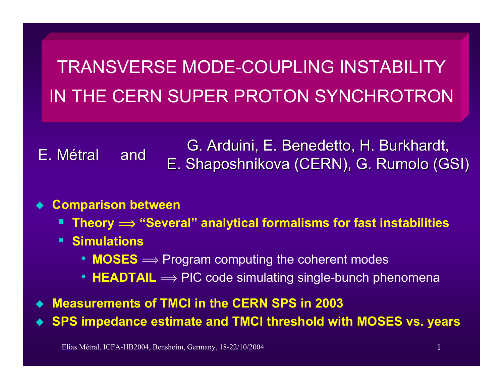TRANSVERSE MODE-COUPLING INSTABILITYIN THE CERN SUPER PROTON SYNCHROTRON

E.Métral

G. Arduini, E. Benedetto, H. Burkhardt, and E. Shaposhnikova (CERN), G. Rumolo (GSI)

#### ♦ **Comparison between**

- **Theory î "Several" analytical formalisms for fast instabilities**
- **Simulations**
	- $MOSES \Longrightarrow$  Program computing the coherent modes
	- $\bullet$   $\mathsf{HEADTAIL} \Longrightarrow \mathsf{PIC}$  code simulating single-bunch phenomena
- $\blacklozenge$ **Measurements of TMCI in the CERN SPS in 2003**

♦ **SPS impedance estimate and TMCI threshold with MOSES vs. years**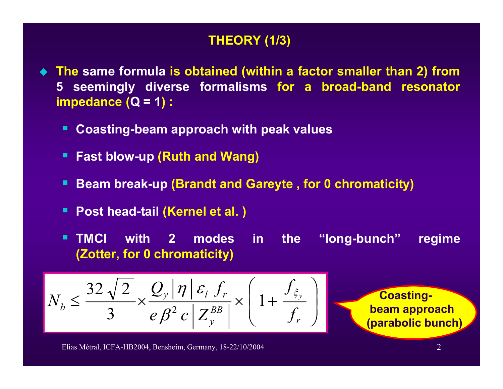## **THEORY (1/3)**

- **The same formula is obtained (within a factor smaller than 2) from 5 seemingly diverse formalisms for a broad-band resonator impedance (Q = 1) :** 
	- п **Coasting-beam approach with peak values**
	- П **Fast blow-up (Ruth and Wang)**
	- п **Beam break-up (Brandt and Gareyte , for 0 chromaticity)**
	- п **Post head-tail (Kernel et al. )**
	- $\blacksquare$  **TMCI with 2 modes in the "long-bunch" regime (Zotter, for 0 chromaticity)**

$$
N_b \le \frac{32\sqrt{2}}{3} \times \frac{Q_y |\eta| \varepsilon_l f_r}{e \beta^2 c \left| Z_y^{BB} \right|} \times \left(1 + \frac{f_{\xi_y}}{f_r}\right)
$$

**Coastingbeam approach (parabolic bunch)**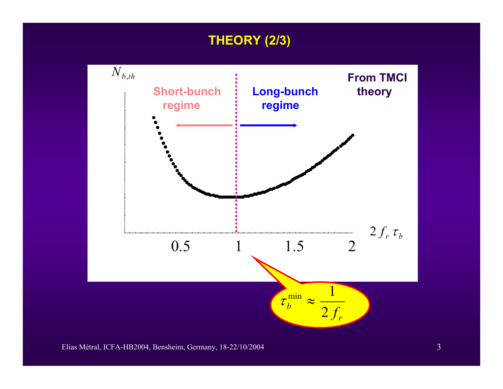## **THEORY (2/3)**

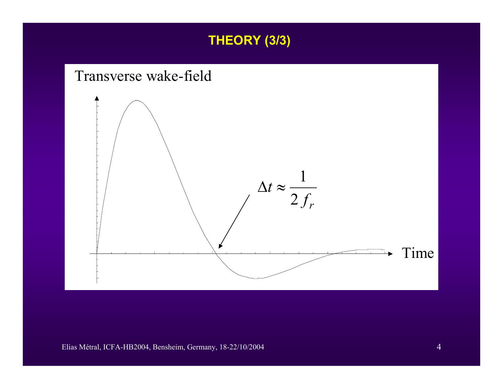



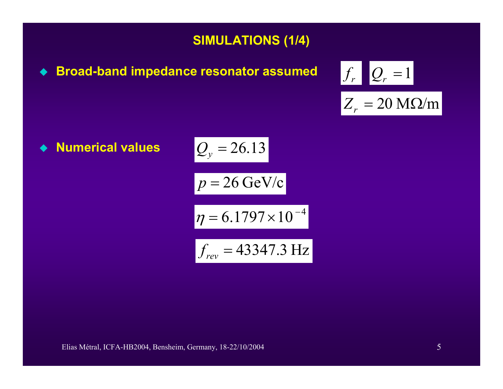### **SIMULATIONS (1/4)**

 $\blacklozenge$ **Broad-band impedance resonator assumed** 

$$
f_r \quad Q_r = 1
$$

$$
Z_r = 20 \text{ M}\Omega/m
$$

 $\bullet$ **Numerical values**

$$
Q_y = 26.13
$$
  

$$
p = 26 \text{ GeV/c}
$$
  

$$
\eta = 6.1797 \times 10^{-4}
$$
  

$$
f_{rev} = 43347.3 \text{ Hz}
$$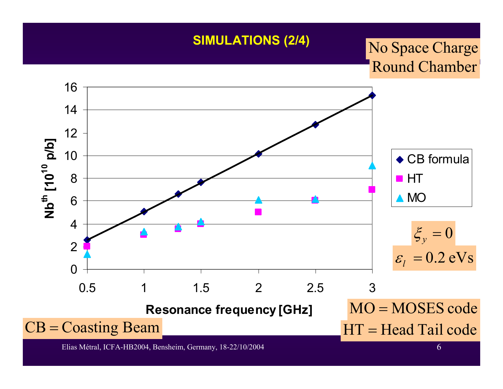#### **SIMULATIONS (2/4)**

# Round Chamber No Space Charge

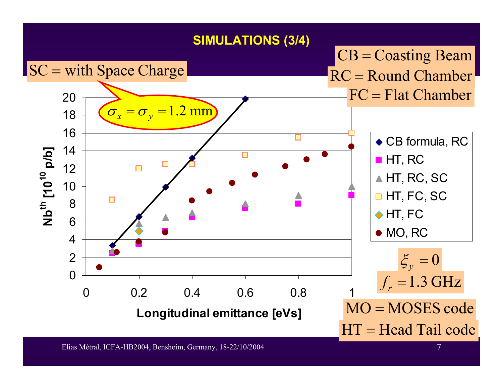#### **SIMULATIONS (3/4)**

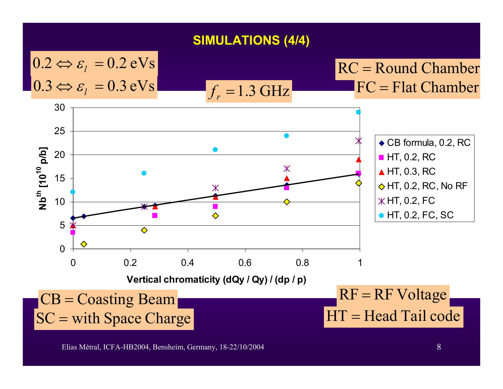**SIMULATIONS (4/4)**

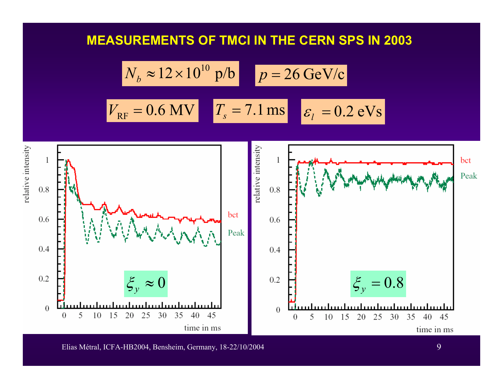#### **MEASUREMENTS OF TMCI IN THE CERN SPS IN 2003**

$$
N_b \approx 12 \times 10^{10} \text{ p/b} \qquad p = 26 \text{ GeV/c}
$$

$$
V_{\text{RF}} = 0.6 \text{ MV} \qquad T_s = 7.1 \text{ ms} \qquad \varepsilon_l = 0.2 \text{ eV/s}
$$

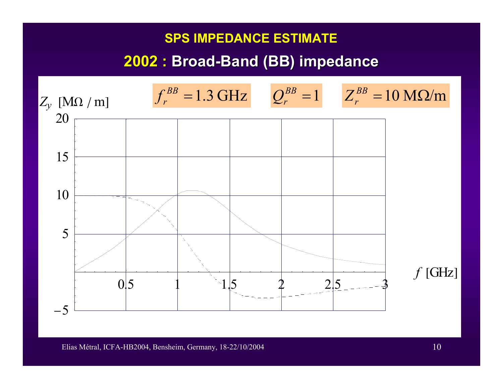#### **SPS IMPEDANCE ESTIMATE**

## **2002 : Broad -Band (BB) impedance Band (BB) impedance**

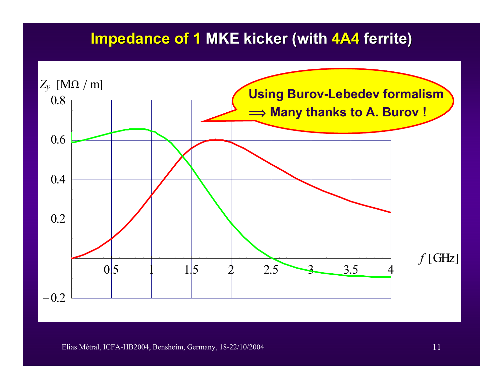## **Impedance of 1 MKE kicker (with 4A4 ferrite)**

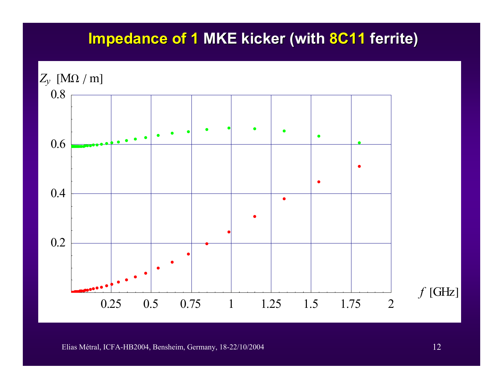## **Impedance of 1 MKE kicker (with 8C11 ferrite)**

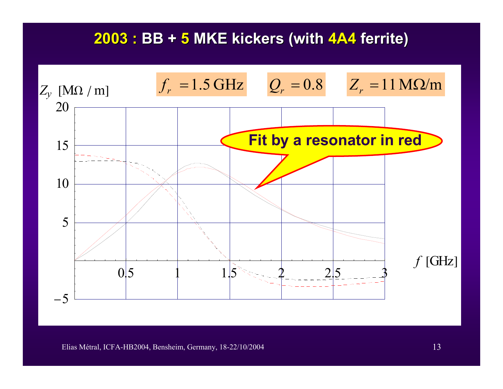## **2003 : BB + 5 MKE kickers (with MKE kickers (with 4A4 ferrite) ferrite)**

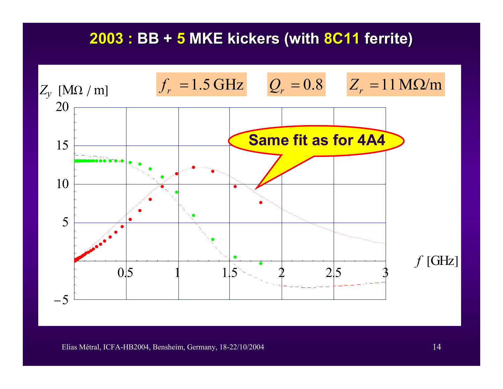## **2003 : BB + 5 MKE kickers (with MKE kickers (with 8C11 ferrite) ferrite)**

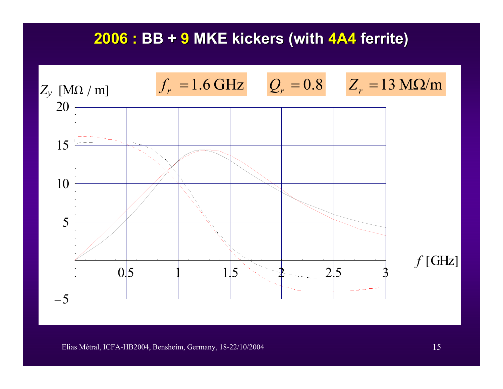## **2006 : BB + 9 MKE kickers (with MKE kickers (with 4A4 ferrite) ferrite)**

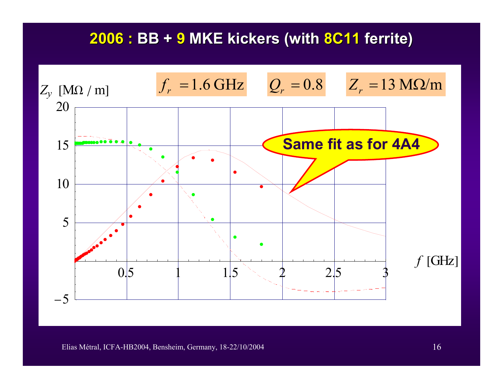## **2006 : BB + 9 MKE kickers (with MKE kickers (with 8C11 ferrite) ferrite)**

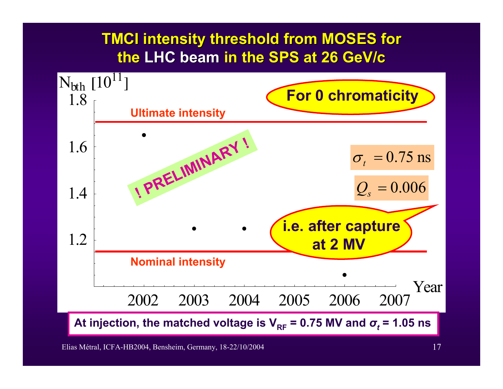# **TMCI intensity threshold from MOSES for the LHC beam LHC beam in the SPS at 26 in the SPS at 26 GeV/c**

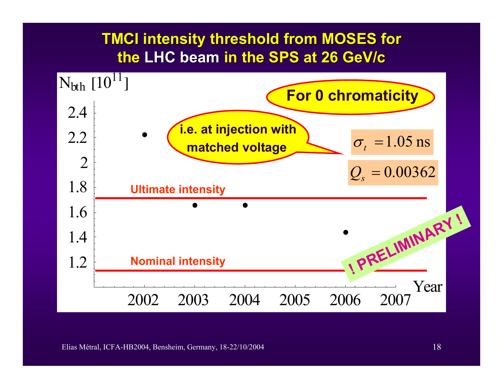# **TMCI intensity threshold from MOSES for the LHC beam LHC beam in the SPS at 26 in the SPS at 26 GeV/c**



Elias Métral, ICFA-HB2004, Bensheim, Germany, 18-22/10/2004 18-12000 18-12000 18-12000 18-12000 18-12000 18-120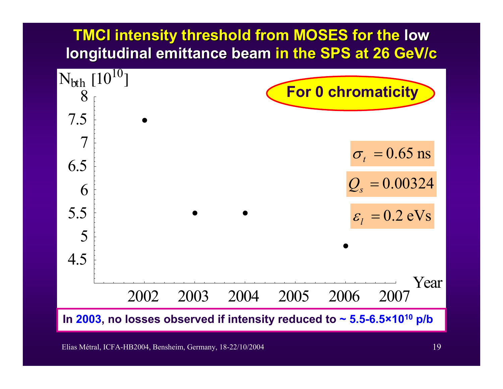# **TMCI intensity threshold from MOSES for the low longitudinal emittance beam in the SPS at 26 GeV/c**

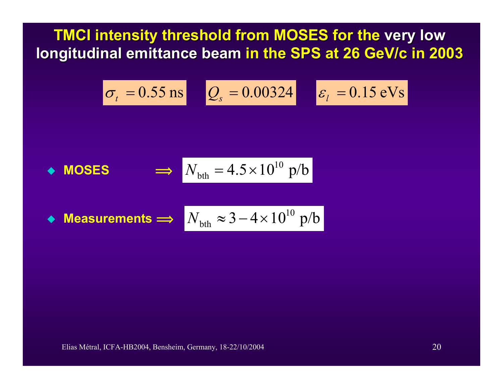**TMCI intensity threshold from MOSES for the very low longitudinal emittance beam in the SPS at 26 GeV/c in 2003** 

$$
\sigma_t = 0.55 \,\text{ns} \qquad Q_s = 0.00324 \qquad \varepsilon_l = 0.15 \,\text{eV}\,\text{s}
$$

• **MOSES** 
$$
\implies
$$
  $N_{\text{bth}} = 4.5 \times 10^{10} \text{ p/b}$ 

 $\blacklozenge$  Measurements  $\implies$   $N_\textrm{bth} \approx 3\!-\!4\!\times\!10^{10}$   $\mathrm{p}/\mathrm{b}$  $\approx$  3  $-$  4  $\times$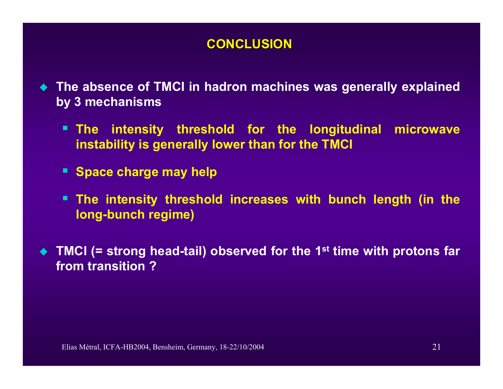#### **CONCLUSION CONCLUSION**

- $\blacklozenge$  **The absence of TMCI in hadron machines was generally explained by 3 mechanisms**
	- **The intensity threshold for the longitudinal microwave instability is generally lower than for the TMCI**
	- Space charge may help
	- п **The intensity threshold increases with bunch length (in the long-bunch regime)**
- ◆ TMCI (= strong head-tail) observed for the 1<sup>st</sup> time with protons far **from transition ?**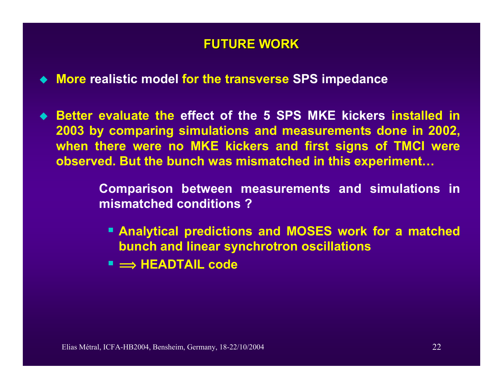### **FUTURE WORK FUTURE WORK**

- **More realistic model for the transverse SPS impedance**
- **Better evaluate the effect of the 5 SPS MKE kickers installed in 2003 by comparing simulations and measurements done in 2002, when there were no MKE kickers and first signs of TMCI were observed. But the bunch was mismatched in this experiment…**

**Comparison between measurements and simulations in mismatched conditions ?**

- **Analytical predictions and MOSES work for a matched bunch and linear synchrotron oscillations**
- **î HEADTAIL code**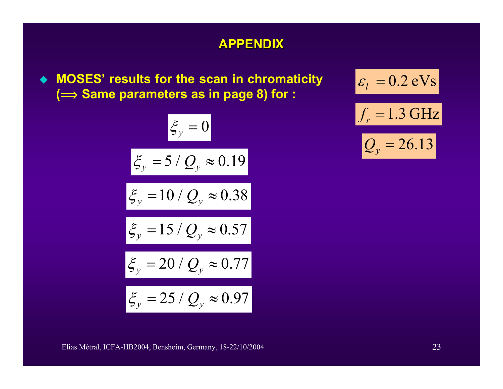#### **APPENDIX APPENDIX**

 **MOSES' results for the scan in chromaticity ( î Same parameters as in page 8) for :**

$$
\xi_y = 0
$$
  

$$
\xi_y = 5/Q_y \approx 0.19
$$
  

$$
\xi_y = 10/Q_y \approx 0.38
$$
  

$$
\xi_y = 15/Q_y \approx 0.57
$$
  

$$
\xi_y = 20/Q_y \approx 0.77
$$
  

$$
\xi_y = 25/Q_y \approx 0.97
$$

 $\varepsilon_l = 0.2 \text{ eVs}$  $f_r = 1.3 \text{ GHz}$  $\mathcal{Q}_y$  = 26.13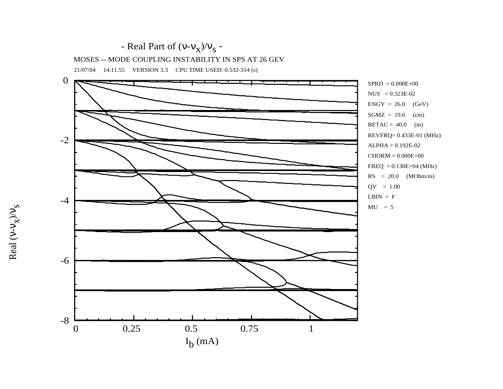

21/07/04 14.11.55 VERSION 3.3 CPU TIME USED: 0.532-314 (s)



Real ( ν - ν  $\frac{s}{\lambda/\lambda^2}$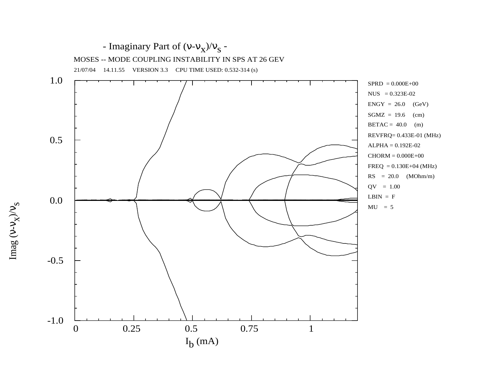

Imag ( ν - ν  $\frac{s}{\lambda/\lambda^2}$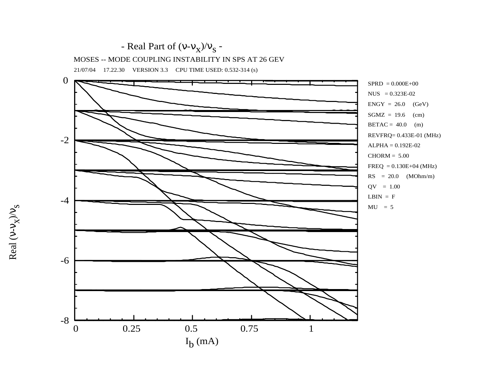

21/07/04 17.22.30 VERSION 3.3 CPU TIME USED: 0.532-314 (s)



Real ( ν - ν  $\frac{s}{\lambda/\lambda^2}$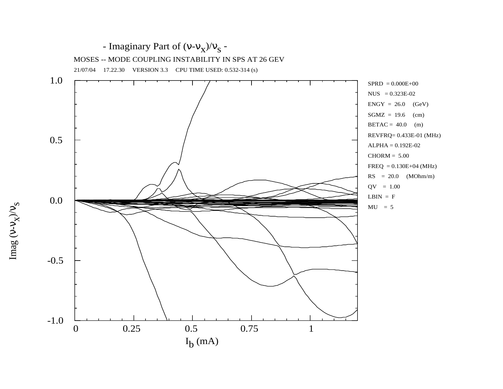

Imag ( ν - ν  $\frac{s}{\lambda/\lambda^2}$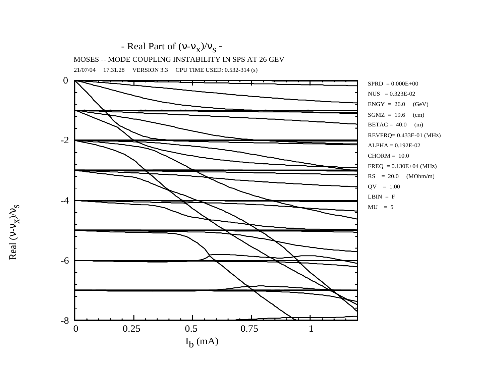

21/07/04 17.31.28 VERSION 3.3 CPU TIME USED: 0.532-314 (s)



Real ( ν - ν  $\frac{s}{\lambda/\lambda^2}$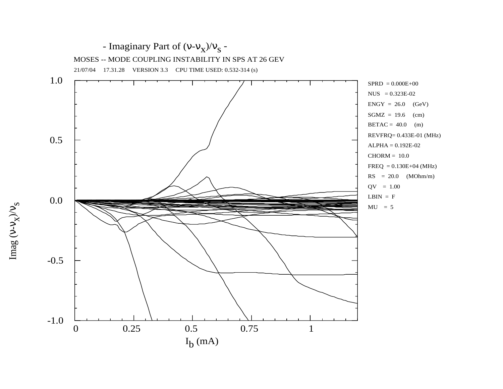

Imag ( ν - ν  $\frac{s}{\lambda/\lambda^2}$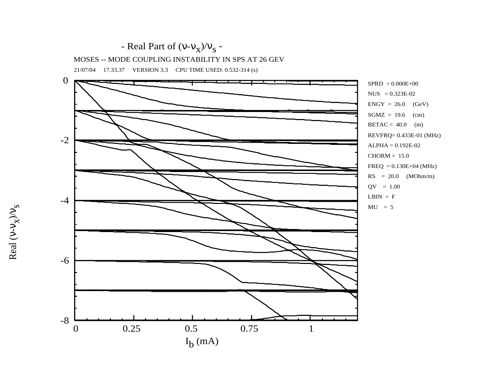

21/07/04 17.33.37 VERSION 3.3 CPU TIME USED: 0.532-314 (s)



Real ( ν - ν  $\frac{s}{\lambda/\lambda^2}$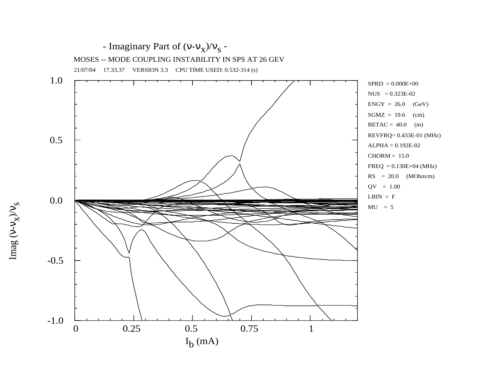

Imag ( ν - ν  $\frac{s}{\lambda/\lambda^2}$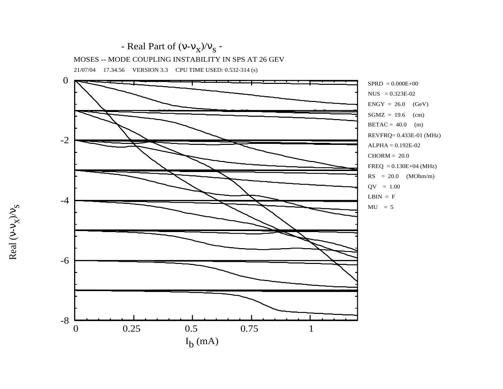

21/07/04 17.34.56 VERSION 3.3 CPU TIME USED: 0.532-314 (s)



Real ( ν - ν  $\frac{s}{\lambda/\lambda^2}$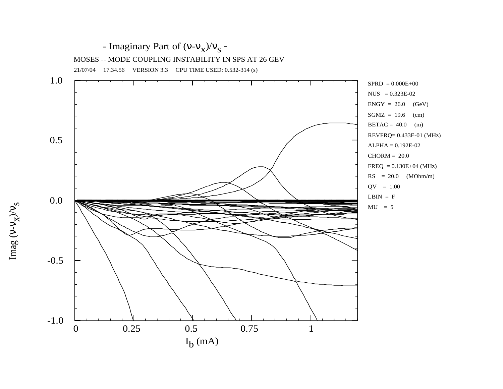

Imag ( ν - ν  $\frac{s}{\lambda/\lambda^2}$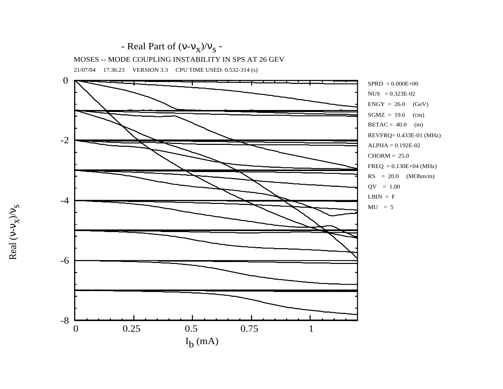

Real ( ν - ν  $\frac{s}{\lambda/\lambda^2}$